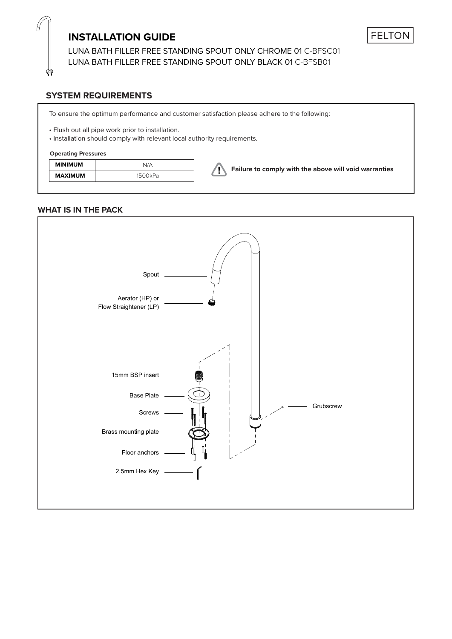## **INSTALLATION GUIDE**

LUNA BATH FILLER FREE STANDING SPOUT ONLY CHROME 01 C-BFSC01 LUNA BATH FILLER FREE STANDING SPOUT ONLY BLACK 01 C-BFSB01

## **SYSTEM REQUIREMENTS**

To ensure the optimum performance and customer satisfaction please adhere to the following:

• Flush out all pipe work prior to installation.

• Installation should comply with relevant local authority requirements.

### **Operating Pressures**

| <b>MINIMUM</b> | N/A     | Failure to comply with the above will void warranties |
|----------------|---------|-------------------------------------------------------|
| <b>MAXIMUM</b> | 1500kPa |                                                       |

## **WHAT IS IN THE PACK**

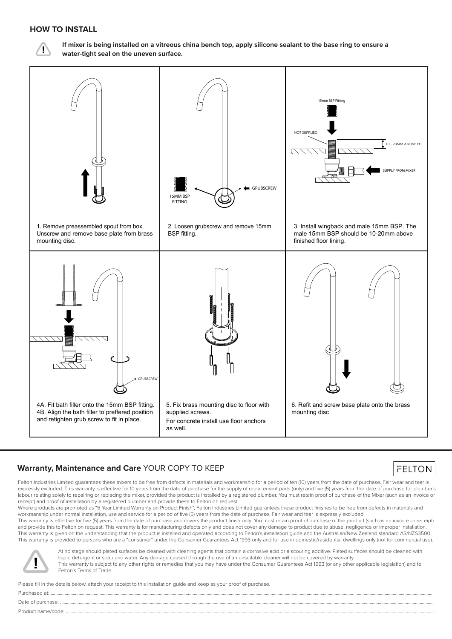## **HOW TO INSTALL**



**If mixer is being installed on a vitreous china bench top, apply silicone sealant to the base ring to ensure a water-tight seal on the uneven surface.**



## **Warranty, Maintenance and Care** YOUR COPY TO KEEP

Felton Industries Limited guarantees these mixers to be free from defects in materials and workmanship for a period of ten (10) years from the date of purchase. Fair wear and tear is expressly excluded. This warranty is effective for 10 years from the date of purchase for the supply of replacement parts (only) and five (5) years from the date of purchase for plumber's labour relating solely to repairing or replacing the mixer, provided the product is installed by a registered plumber. You must retain proof of purchase of the Mixer (such as an invoice or receipt) and proof of installation by a registered plumber and provide these to Felton on request.

Where products are promoted as "5 Year Limited Warranty on Product Finish", Felton Industries Limited guarantees these product finishes to be free from defects in materials and workmanship under normal installation, use and service for a period of five (5) years from the date of purchase. Fair wear and tear is expressly excluded.

This warranty is effective for five (5) years from the date of purchase and covers the product finish only. You must retain proof of purchase of the product (such as an invoice or receipt) and provide this to Felton on request. This warranty is for manufacturing defects only and does not cover any damage to product due to abuse, negligence or improper installation. This warranty is given on the understanding that the product is installed and operated according to Felton's installation guide and the Australian/New Zealand standard AS/NZS3500. This warranty is provided to persons who are a "consumer" under the Consumer Guarantees Act 1993 only and for use in domestic/residential dwellings only (not for commercial use).



At no stage should plated surfaces be cleaned with cleaning agents that contain a corrosive acid or a scouring additive. Plated surfaces should be cleaned with liquid detergent or soap and water. Any damage caused through the use of an unsuitable cleaner will not be covered by warranty. This warranty is subject to any other rights or remedies that you may have under the Consumer Guarantees Act 1993 (or any other applicable legislation) and to Felton's Terms of Trade.

**FELTON** 

Please fill in the details below, attach your receipt to this installation guide and keep as your proof of purchase.